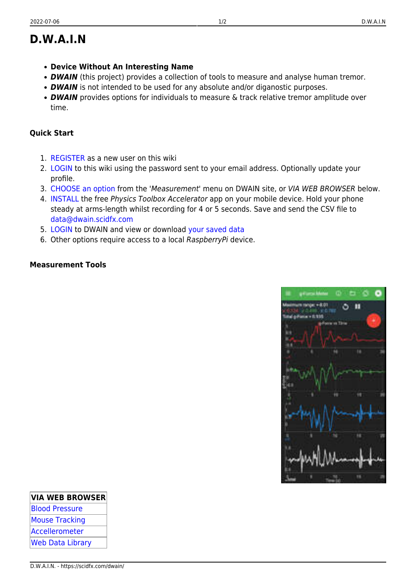**VIA WEB BROWSER**

[Blood Pressure](https://dwain.scidfx.com/bpform) [Mouse Tracking](https://dwain.scidfx.com/mslive)

[Web Data Library](https://dwain.scidfx.com/download/)

## **D.W.A.I.N**

- **Device Without An Interesting Name**
- **DWAIN** (this project) provides a collection of tools to measure and analyse human tremor.
- **DWAIN** is not intended to be used for any absolute and/or diganostic purposes.
- **DWAIN** provides options for individuals to measure & track relative tremor amplitude over time.

## **Quick Start**

- 1. [REGISTER](https://scidfx.com/dwain/home?do=register) as a new user on this wiki
- 2. [LOGIN](https://scidfx.com/dwain/home?do=login§ok=) to this wiki using the password sent to your email address. Optionally update your profile.
- 3. [CHOOSE an option](https://dwain.scidfx.com) from the 'Measurement' menu on DWAIN site, or VIA WEB BROWSER below.
- 4. **INSTALL** the free *Physics Toolbox Accelerator* app on your mobile device. Hold your phone steady at arms-length whilst recording for 4 or 5 seconds. Save and send the CSV file to [data@dwain.scidfx.com](mailto:data@dwain.scidfx.com)
- 5. [LOGIN](https://dwain.sidfx.co/login/) to DWAIN and view or download [your saved data](https://dwain.scidfx.com/download/)
- 6. Other options require access to a local RaspberryPi device.

## **Measurement Tools**